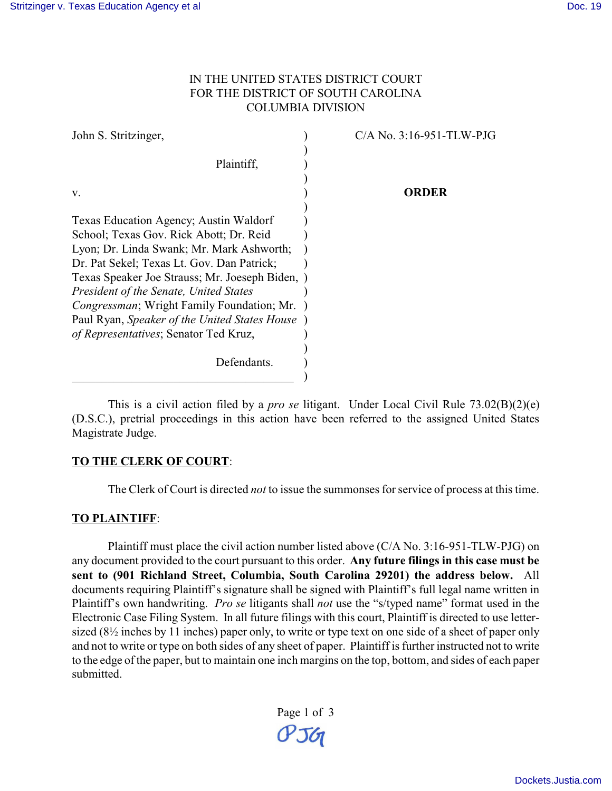### IN THE UNITED STATES DISTRICT COURT FOR THE DISTRICT OF SOUTH CAROLINA COLUMBIA DIVISION

| $C/A$ No. 3:16-951-TLW-PJG                    |
|-----------------------------------------------|
|                                               |
|                                               |
|                                               |
| ORDER                                         |
|                                               |
|                                               |
|                                               |
|                                               |
|                                               |
|                                               |
|                                               |
|                                               |
|                                               |
|                                               |
|                                               |
|                                               |
|                                               |
| Texas Speaker Joe Strauss; Mr. Joeseph Biden, |

This is a civil action filed by a *pro se* litigant. Under Local Civil Rule 73.02(B)(2)(e) (D.S.C.), pretrial proceedings in this action have been referred to the assigned United States Magistrate Judge.

### **TO THE CLERK OF COURT**:

The Clerk of Court is directed *not* to issue the summonses for service of process at this time.

#### **TO PLAINTIFF**:

Plaintiff must place the civil action number listed above (C/A No. 3:16-951-TLW-PJG) on any document provided to the court pursuant to this order. **Any future filings in this case must be sent to (901 Richland Street, Columbia, South Carolina 29201) the address below.** All documents requiring Plaintiff's signature shall be signed with Plaintiff's full legal name written in Plaintiff's own handwriting. *Pro se* litigants shall *not* use the "s/typed name" format used in the Electronic Case Filing System. In all future filings with this court, Plaintiff is directed to use lettersized (8½ inches by 11 inches) paper only, to write or type text on one side of a sheet of paper only and not to write or type on both sides of any sheet of paper. Plaintiff is further instructed not to write to the edge of the paper, but to maintain one inch margins on the top, bottom, and sides of each paper submitted.

> Page 1 of 3  $O<sub>56</sub>$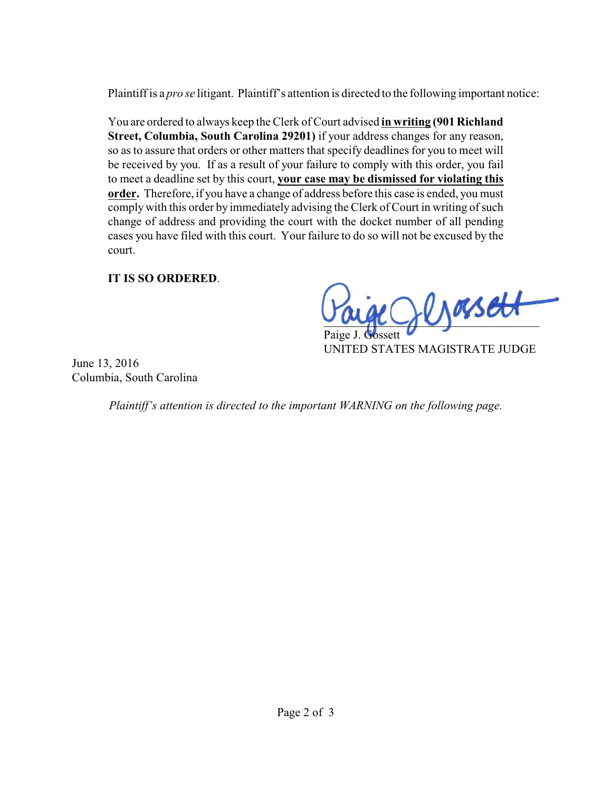Plaintiff is a *pro se* litigant. Plaintiff's attention is directed to the following important notice:

You are ordered to always keep the Clerk of Court advised **in writing (901 Richland Street, Columbia, South Carolina 29201)** if your address changes for any reason, so as to assure that orders or other matters that specify deadlines for you to meet will be received by you. If as a result of your failure to comply with this order, you fail to meet a deadline set by this court, **your case may be dismissed for violating this order.** Therefore, if you have a change of address before this case is ended, you must comply with this order by immediately advising the Clerk of Court in writing of such change of address and providing the court with the docket number of all pending cases you have filed with this court. Your failure to do so will not be excused by the court.

## **IT IS SO ORDERED**.

 $\nu_\text{M}$ asett

Paige J. Gossett UNITED STATES MAGISTRATE JUDGE

June 13, 2016 Columbia, South Carolina

*Plaintiff's attention is directed to the important WARNING on the following page.*